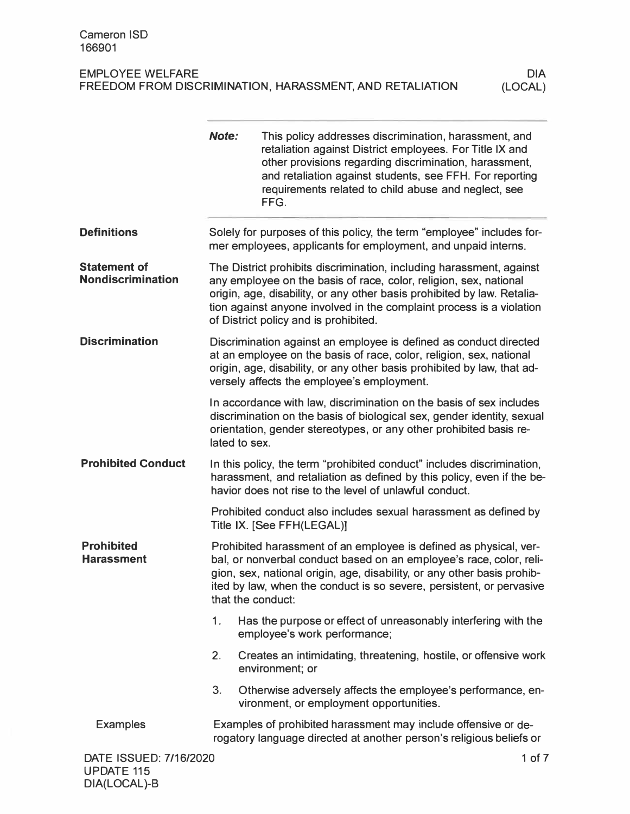| <b>EMPLOYEE WELFARE</b>                                  |  |
|----------------------------------------------------------|--|
| FREEDOM FROM DISCRIMINATION, HARASSMENT, AND RETALIATION |  |

|                                                 | <b>Note:</b>  | This policy addresses discrimination, harassment, and<br>retaliation against District employees. For Title IX and<br>other provisions regarding discrimination, harassment,<br>and retaliation against students, see FFH. For reporting<br>requirements related to child abuse and neglect, see<br>FFG.                               |
|-------------------------------------------------|---------------|---------------------------------------------------------------------------------------------------------------------------------------------------------------------------------------------------------------------------------------------------------------------------------------------------------------------------------------|
| <b>Definitions</b>                              |               | Solely for purposes of this policy, the term "employee" includes for-<br>mer employees, applicants for employment, and unpaid interns.                                                                                                                                                                                                |
| <b>Statement of</b><br><b>Nondiscrimination</b> |               | The District prohibits discrimination, including harassment, against<br>any employee on the basis of race, color, religion, sex, national<br>origin, age, disability, or any other basis prohibited by law. Retalia-<br>tion against anyone involved in the complaint process is a violation<br>of District policy and is prohibited. |
| <b>Discrimination</b>                           |               | Discrimination against an employee is defined as conduct directed<br>at an employee on the basis of race, color, religion, sex, national<br>origin, age, disability, or any other basis prohibited by law, that ad-<br>versely affects the employee's employment.                                                                     |
|                                                 | lated to sex. | In accordance with law, discrimination on the basis of sex includes<br>discrimination on the basis of biological sex, gender identity, sexual<br>orientation, gender stereotypes, or any other prohibited basis re-                                                                                                                   |
| <b>Prohibited Conduct</b>                       |               | In this policy, the term "prohibited conduct" includes discrimination,<br>harassment, and retaliation as defined by this policy, even if the be-<br>havior does not rise to the level of unlawful conduct.                                                                                                                            |
|                                                 |               | Prohibited conduct also includes sexual harassment as defined by<br>Title IX. [See FFH(LEGAL)]                                                                                                                                                                                                                                        |
| <b>Prohibited</b><br><b>Harassment</b>          |               | Prohibited harassment of an employee is defined as physical, ver-<br>bal, or nonverbal conduct based on an employee's race, color, reli-<br>gion, sex, national origin, age, disability, or any other basis prohib-<br>ited by law, when the conduct is so severe, persistent, or pervasive<br>that the conduct:                      |
|                                                 | 1.            | Has the purpose or effect of unreasonably interfering with the<br>employee's work performance;                                                                                                                                                                                                                                        |
|                                                 | 2.            | Creates an intimidating, threatening, hostile, or offensive work<br>environment; or                                                                                                                                                                                                                                                   |
|                                                 | 3.            | Otherwise adversely affects the employee's performance, en-<br>vironment, or employment opportunities.                                                                                                                                                                                                                                |
| <b>Examples</b>                                 |               | Examples of prohibited harassment may include offensive or de-<br>rogatory language directed at another person's religious beliefs or                                                                                                                                                                                                 |
| DATE ISSUED: 7/16/2020                          |               | 1 of 7                                                                                                                                                                                                                                                                                                                                |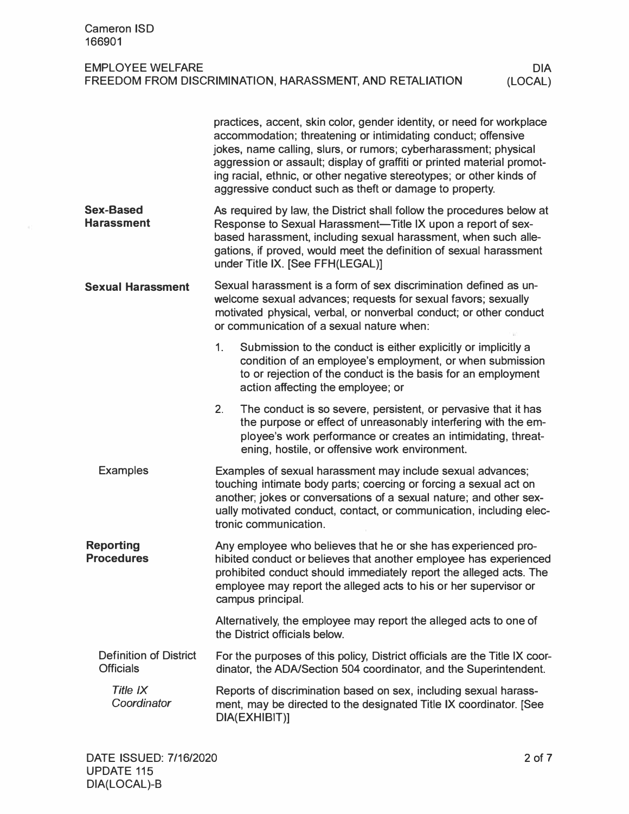## EMPLOYEE WELFARE FREEDOM FROM DISCRIMINATION, HARASSMENT, AND RETALIATION

|                                                   |                                                                                                                                                                                                                                                      | practices, accent, skin color, gender identity, or need for workplace<br>accommodation; threatening or intimidating conduct; offensive<br>jokes, name calling, slurs, or rumors; cyberharassment; physical<br>aggression or assault; display of graffiti or printed material promot-<br>ing racial, ethnic, or other negative stereotypes; or other kinds of<br>aggressive conduct such as theft or damage to property. |  |
|---------------------------------------------------|------------------------------------------------------------------------------------------------------------------------------------------------------------------------------------------------------------------------------------------------------|-------------------------------------------------------------------------------------------------------------------------------------------------------------------------------------------------------------------------------------------------------------------------------------------------------------------------------------------------------------------------------------------------------------------------|--|
| <b>Sex-Based</b><br><b>Harassment</b>             |                                                                                                                                                                                                                                                      | As required by law, the District shall follow the procedures below at<br>Response to Sexual Harassment-Title IX upon a report of sex-<br>based harassment, including sexual harassment, when such alle-<br>gations, if proved, would meet the definition of sexual harassment<br>under Title IX. [See FFH(LEGAL)]                                                                                                       |  |
| <b>Sexual Harassment</b>                          | Sexual harassment is a form of sex discrimination defined as un-<br>welcome sexual advances; requests for sexual favors; sexually<br>motivated physical, verbal, or nonverbal conduct; or other conduct<br>or communication of a sexual nature when: |                                                                                                                                                                                                                                                                                                                                                                                                                         |  |
|                                                   | 1.                                                                                                                                                                                                                                                   | Submission to the conduct is either explicitly or implicitly a<br>condition of an employee's employment, or when submission<br>to or rejection of the conduct is the basis for an employment<br>action affecting the employee; or                                                                                                                                                                                       |  |
|                                                   | 2.                                                                                                                                                                                                                                                   | The conduct is so severe, persistent, or pervasive that it has<br>the purpose or effect of unreasonably interfering with the em-<br>ployee's work performance or creates an intimidating, threat-<br>ening, hostile, or offensive work environment.                                                                                                                                                                     |  |
| <b>Examples</b>                                   |                                                                                                                                                                                                                                                      | Examples of sexual harassment may include sexual advances;<br>touching intimate body parts; coercing or forcing a sexual act on<br>another; jokes or conversations of a sexual nature; and other sex-<br>ually motivated conduct, contact, or communication, including elec-<br>tronic communication.                                                                                                                   |  |
| <b>Reporting</b><br><b>Procedures</b>             |                                                                                                                                                                                                                                                      | Any employee who believes that he or she has experienced pro-<br>hibited conduct or believes that another employee has experienced<br>prohibited conduct should immediately report the alleged acts. The<br>employee may report the alleged acts to his or her supervisor or<br>campus principal.                                                                                                                       |  |
|                                                   |                                                                                                                                                                                                                                                      | Alternatively, the employee may report the alleged acts to one of<br>the District officials below.                                                                                                                                                                                                                                                                                                                      |  |
| <b>Definition of District</b><br><b>Officials</b> |                                                                                                                                                                                                                                                      | For the purposes of this policy, District officials are the Title IX coor-<br>dinator, the ADA/Section 504 coordinator, and the Superintendent.                                                                                                                                                                                                                                                                         |  |
| Title IX<br>Coordinator                           |                                                                                                                                                                                                                                                      | Reports of discrimination based on sex, including sexual harass-<br>ment, may be directed to the designated Title IX coordinator. [See<br>DIA(EXHIBIT)]                                                                                                                                                                                                                                                                 |  |

DIA (LOCAL)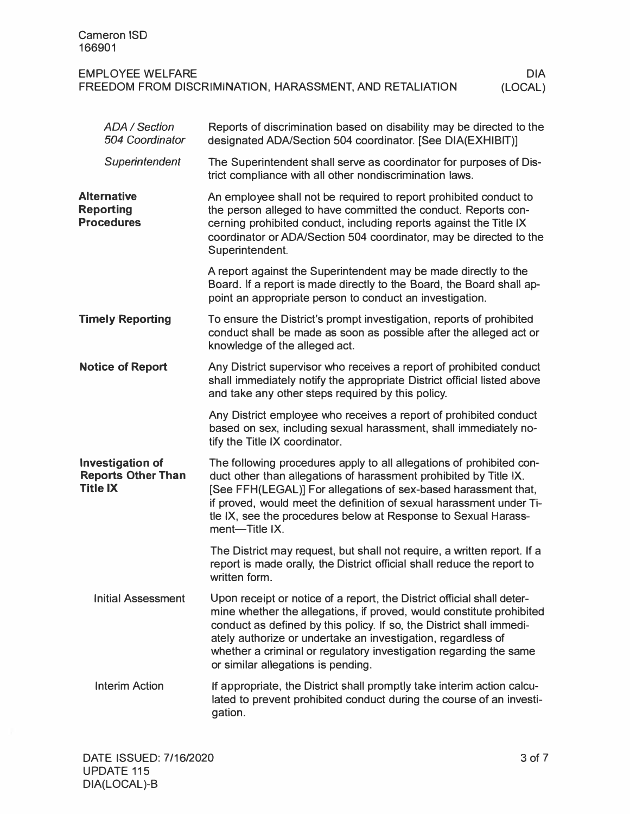| Cameron ISD<br>166901                                    |         |
|----------------------------------------------------------|---------|
| <b>EMPLOYEE WELFARE</b>                                  | DIA     |
| FREEDOM FROM DISCRIMINATION, HARASSMENT, AND RETALIATION | (LOCAL) |

| <b>ADA / Section</b><br>504 Coordinator                                 | Reports of discrimination based on disability may be directed to the<br>designated ADA/Section 504 coordinator. [See DIA(EXHIBIT)]                                                                                                                                                                                                                                                                |
|-------------------------------------------------------------------------|---------------------------------------------------------------------------------------------------------------------------------------------------------------------------------------------------------------------------------------------------------------------------------------------------------------------------------------------------------------------------------------------------|
| Superintendent                                                          | The Superintendent shall serve as coordinator for purposes of Dis-<br>trict compliance with all other nondiscrimination laws.                                                                                                                                                                                                                                                                     |
| <b>Alternative</b><br><b>Reporting</b><br><b>Procedures</b>             | An employee shall not be required to report prohibited conduct to<br>the person alleged to have committed the conduct. Reports con-<br>cerning prohibited conduct, including reports against the Title IX<br>coordinator or ADA/Section 504 coordinator, may be directed to the<br>Superintendent.                                                                                                |
|                                                                         | A report against the Superintendent may be made directly to the<br>Board. If a report is made directly to the Board, the Board shall ap-<br>point an appropriate person to conduct an investigation.                                                                                                                                                                                              |
| <b>Timely Reporting</b>                                                 | To ensure the District's prompt investigation, reports of prohibited<br>conduct shall be made as soon as possible after the alleged act or<br>knowledge of the alleged act.                                                                                                                                                                                                                       |
| <b>Notice of Report</b>                                                 | Any District supervisor who receives a report of prohibited conduct<br>shall immediately notify the appropriate District official listed above<br>and take any other steps required by this policy.                                                                                                                                                                                               |
|                                                                         | Any District employee who receives a report of prohibited conduct<br>based on sex, including sexual harassment, shall immediately no-<br>tify the Title IX coordinator.                                                                                                                                                                                                                           |
| <b>Investigation of</b><br><b>Reports Other Than</b><br><b>Title IX</b> | The following procedures apply to all allegations of prohibited con-<br>duct other than allegations of harassment prohibited by Title IX.<br>[See FFH(LEGAL)] For allegations of sex-based harassment that,<br>if proved, would meet the definition of sexual harassment under Ti-<br>tle IX, see the procedures below at Response to Sexual Harass-<br>ment-Title IX.                            |
|                                                                         | The District may request, but shall not require, a written report. If a<br>report is made orally, the District official shall reduce the report to<br>written form.                                                                                                                                                                                                                               |
| <b>Initial Assessment</b>                                               | Upon receipt or notice of a report, the District official shall deter-<br>mine whether the allegations, if proved, would constitute prohibited<br>conduct as defined by this policy. If so, the District shall immedi-<br>ately authorize or undertake an investigation, regardless of<br>whether a criminal or regulatory investigation regarding the same<br>or similar allegations is pending. |
| <b>Interim Action</b>                                                   | If appropriate, the District shall promptly take interim action calcu-<br>lated to prevent prohibited conduct during the course of an investi-<br>gation.                                                                                                                                                                                                                                         |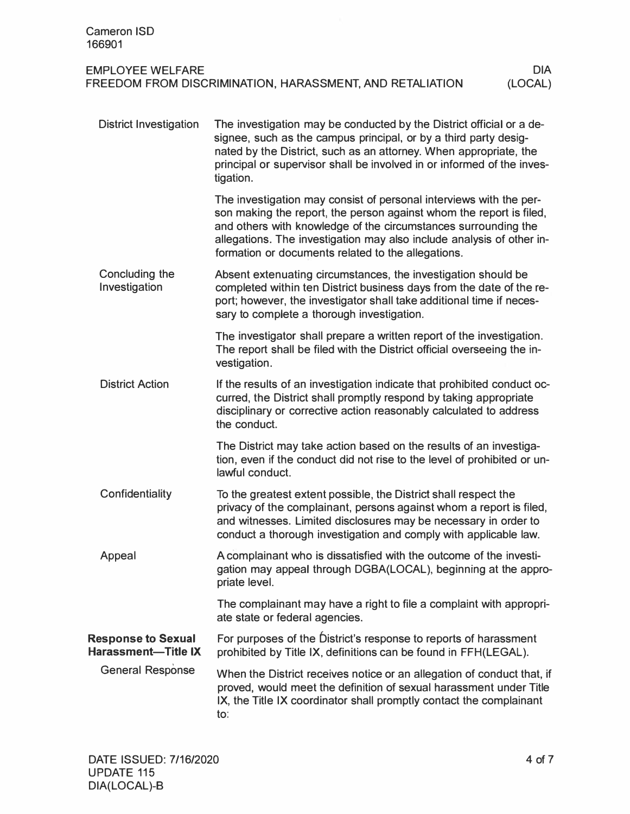| Cameron ISD<br>166901                                    |            |
|----------------------------------------------------------|------------|
| <b>EMPLOYEE WELFARE</b>                                  | <b>DIA</b> |
| FREEDOM FROM DISCRIMINATION, HARASSMENT, AND RETALIATION | (LOCAL)    |

| <b>District Investigation</b>                           | The investigation may be conducted by the District official or a de-<br>signee, such as the campus principal, or by a third party desig-<br>nated by the District, such as an attorney. When appropriate, the<br>principal or supervisor shall be involved in or informed of the inves-<br>tigation.                                       |
|---------------------------------------------------------|--------------------------------------------------------------------------------------------------------------------------------------------------------------------------------------------------------------------------------------------------------------------------------------------------------------------------------------------|
|                                                         | The investigation may consist of personal interviews with the per-<br>son making the report, the person against whom the report is filed,<br>and others with knowledge of the circumstances surrounding the<br>allegations. The investigation may also include analysis of other in-<br>formation or documents related to the allegations. |
| Concluding the<br>Investigation                         | Absent extenuating circumstances, the investigation should be<br>completed within ten District business days from the date of the re-<br>port; however, the investigator shall take additional time if neces-<br>sary to complete a thorough investigation.                                                                                |
|                                                         | The investigator shall prepare a written report of the investigation.<br>The report shall be filed with the District official overseeing the in-<br>vestigation.                                                                                                                                                                           |
| <b>District Action</b>                                  | If the results of an investigation indicate that prohibited conduct oc-<br>curred, the District shall promptly respond by taking appropriate<br>disciplinary or corrective action reasonably calculated to address<br>the conduct.                                                                                                         |
|                                                         | The District may take action based on the results of an investiga-<br>tion, even if the conduct did not rise to the level of prohibited or un-<br>lawful conduct.                                                                                                                                                                          |
| Confidentiality                                         | To the greatest extent possible, the District shall respect the<br>privacy of the complainant, persons against whom a report is filed,<br>and witnesses. Limited disclosures may be necessary in order to<br>conduct a thorough investigation and comply with applicable law.                                                              |
| Appeal                                                  | A complainant who is dissatisfied with the outcome of the investi-<br>gation may appeal through DGBA(LOCAL), beginning at the appro-<br>priate level.                                                                                                                                                                                      |
|                                                         | The complainant may have a right to file a complaint with appropri-<br>ate state or federal agencies.                                                                                                                                                                                                                                      |
| <b>Response to Sexual</b><br><b>Harassment-Title IX</b> | For purposes of the District's response to reports of harassment<br>prohibited by Title IX, definitions can be found in FFH(LEGAL).                                                                                                                                                                                                        |
| <b>General Response</b>                                 | When the District receives notice or an allegation of conduct that, if<br>proved, would meet the definition of sexual harassment under Title<br>IX, the Title IX coordinator shall promptly contact the complainant<br>$\mathsf{to}:$                                                                                                      |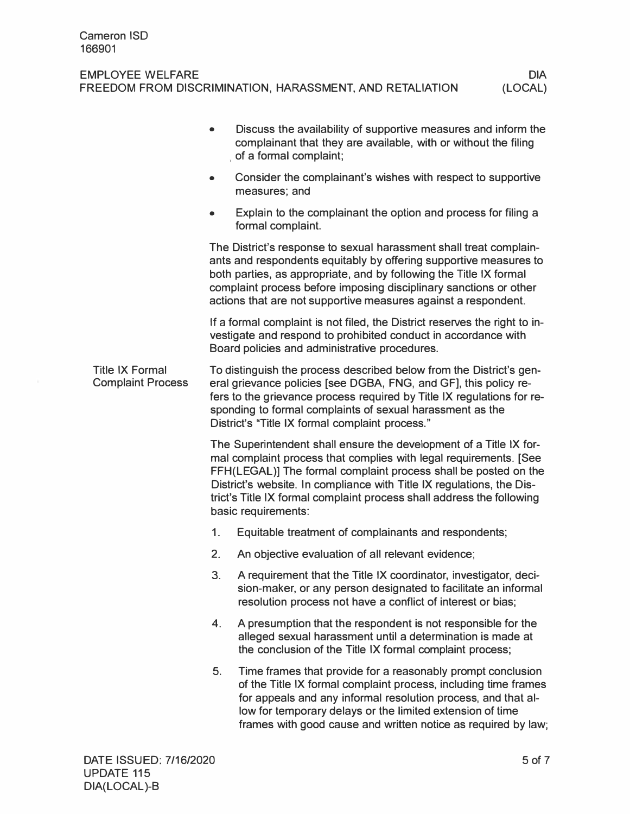## EMPLOYEE WELFARE FREEDOM FROM DISCRIMINATION, HARASSMENT, AND RETALIATION (LOCAL)

|                                                    | $\bullet$ | Discuss the availability of supportive measures and inform the<br>complainant that they are available, with or without the filing<br>of a formal complaint;                                                                                                                                                                                                                         |
|----------------------------------------------------|-----------|-------------------------------------------------------------------------------------------------------------------------------------------------------------------------------------------------------------------------------------------------------------------------------------------------------------------------------------------------------------------------------------|
|                                                    | $\bullet$ | Consider the complainant's wishes with respect to supportive<br>measures; and                                                                                                                                                                                                                                                                                                       |
|                                                    |           | Explain to the complainant the option and process for filing a<br>formal complaint.                                                                                                                                                                                                                                                                                                 |
|                                                    |           | The District's response to sexual harassment shall treat complain-<br>ants and respondents equitably by offering supportive measures to<br>both parties, as appropriate, and by following the Title IX formal<br>complaint process before imposing disciplinary sanctions or other<br>actions that are not supportive measures against a respondent.                                |
|                                                    |           | If a formal complaint is not filed, the District reserves the right to in-<br>vestigate and respond to prohibited conduct in accordance with<br>Board policies and administrative procedures.                                                                                                                                                                                       |
| <b>Title IX Formal</b><br><b>Complaint Process</b> |           | To distinguish the process described below from the District's gen-<br>eral grievance policies [see DGBA, FNG, and GF], this policy re-<br>fers to the grievance process required by Title IX regulations for re-<br>sponding to formal complaints of sexual harassment as the<br>District's "Title IX formal complaint process."                                                   |
|                                                    |           | The Superintendent shall ensure the development of a Title IX for-<br>mal complaint process that complies with legal requirements. [See<br>FFH(LEGAL)] The formal complaint process shall be posted on the<br>District's website. In compliance with Title IX regulations, the Dis-<br>trict's Title IX formal complaint process shall address the following<br>basic requirements: |
|                                                    | 1.        | Equitable treatment of complainants and respondents;                                                                                                                                                                                                                                                                                                                                |
|                                                    | 2.        | An objective evaluation of all relevant evidence;                                                                                                                                                                                                                                                                                                                                   |
|                                                    | 3.        | A requirement that the Title IX coordinator, investigator, deci-<br>sion-maker, or any person designated to facilitate an informal<br>resolution process not have a conflict of interest or bias;                                                                                                                                                                                   |
|                                                    | 4.        | A presumption that the respondent is not responsible for the<br>alleged sexual harassment until a determination is made at<br>the conclusion of the Title IX formal complaint process;                                                                                                                                                                                              |
|                                                    | 5.        | Time frames that provide for a reasonably prompt conclusion<br>of the Title IX formal complaint process, including time frames<br>for appeals and any informal resolution process, and that al-<br>low for temporary delays or the limited extension of time<br>frames with good cause and written notice as required by law;                                                       |
|                                                    |           |                                                                                                                                                                                                                                                                                                                                                                                     |

DIA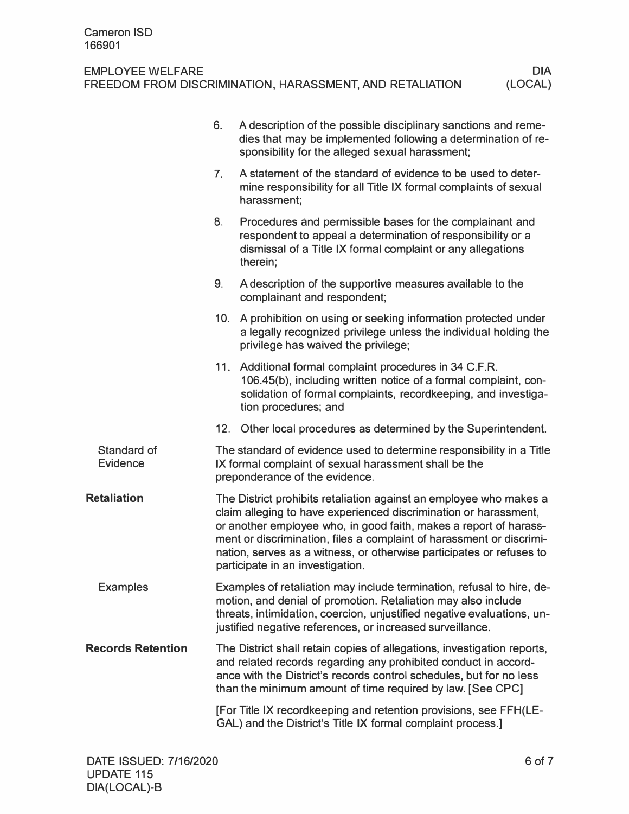## EMPLOYEE WELFARE FREEDOM FROM DISCRIMINATION, HARASSMENT, AND RETALIATION

|                                | 6.             | A description of the possible disciplinary sanctions and reme-<br>dies that may be implemented following a determination of re-<br>sponsibility for the alleged sexual harassment;                                                                                                                                                                                                              |
|--------------------------------|----------------|-------------------------------------------------------------------------------------------------------------------------------------------------------------------------------------------------------------------------------------------------------------------------------------------------------------------------------------------------------------------------------------------------|
|                                | 7 <sub>1</sub> | A statement of the standard of evidence to be used to deter-<br>mine responsibility for all Title IX formal complaints of sexual<br>harassment;                                                                                                                                                                                                                                                 |
|                                | 8.             | Procedures and permissible bases for the complainant and<br>respondent to appeal a determination of responsibility or a<br>dismissal of a Title IX formal complaint or any allegations<br>therein;                                                                                                                                                                                              |
|                                | 9.             | A description of the supportive measures available to the<br>complainant and respondent;                                                                                                                                                                                                                                                                                                        |
|                                |                | 10. A prohibition on using or seeking information protected under<br>a legally recognized privilege unless the individual holding the<br>privilege has waived the privilege;                                                                                                                                                                                                                    |
|                                |                | 11. Additional formal complaint procedures in 34 C.F.R.<br>106.45(b), including written notice of a formal complaint, con-<br>solidation of formal complaints, recordkeeping, and investiga-<br>tion procedures; and                                                                                                                                                                            |
|                                | 12.            | Other local procedures as determined by the Superintendent.                                                                                                                                                                                                                                                                                                                                     |
| Standard of<br><b>Evidence</b> |                | The standard of evidence used to determine responsibility in a Title<br>IX formal complaint of sexual harassment shall be the<br>preponderance of the evidence.                                                                                                                                                                                                                                 |
| <b>Retaliation</b>             |                | The District prohibits retaliation against an employee who makes a<br>claim alleging to have experienced discrimination or harassment,<br>or another employee who, in good faith, makes a report of harass-<br>ment or discrimination, files a complaint of harassment or discrimi-<br>nation, serves as a witness, or otherwise participates or refuses to<br>participate in an investigation. |
| <b>Examples</b>                |                | Examples of retaliation may include termination, refusal to hire, de-<br>motion, and denial of promotion. Retaliation may also include<br>threats, intimidation, coercion, unjustified negative evaluations, un-<br>justified negative references, or increased surveillance.                                                                                                                   |
| <b>Records Retention</b>       |                | The District shall retain copies of allegations, investigation reports,<br>and related records regarding any prohibited conduct in accord-<br>ance with the District's records control schedules, but for no less<br>than the minimum amount of time required by law. [See CPC]                                                                                                                 |
|                                |                | [For Title IX recordkeeping and retention provisions, see FFH(LE-<br>GAL) and the District's Title IX formal complaint process.]                                                                                                                                                                                                                                                                |